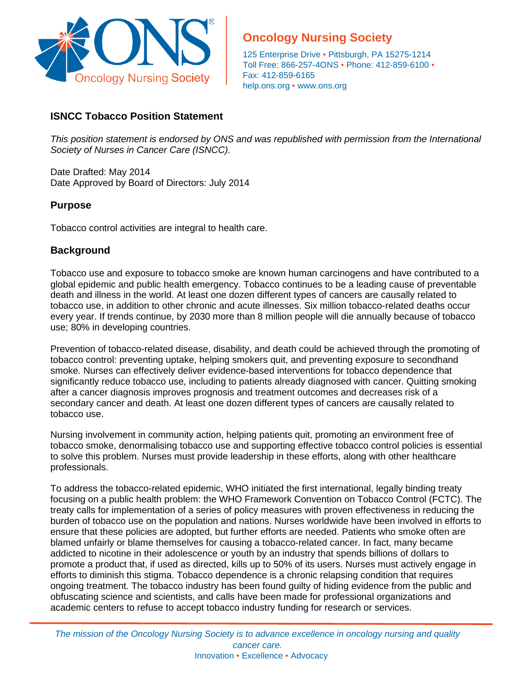

# **Oncology Nursing Society**

125 Enterprise Drive • Pittsburgh, PA 15275-1214 Toll Free: 866-257-4ONS • Phone: 412-859-6100 • Fax: 412-859-6165 help.ons.org • [www.ons.org](http://www.ons.org/)

# **ISNCC Tobacco Position Statement**

*This position statement is endorsed by ONS and was republished with permission from the International Society of Nurses in Cancer Care (ISNCC).* 

Date Drafted: May 2014 Date Approved by Board of Directors: July 2014

## **Purpose**

Tobacco control activities are integral to health care.

# **Background**

Tobacco use and exposure to tobacco smoke are known human carcinogens and have contributed to a global epidemic and public health emergency. Tobacco continues to be a leading cause of preventable death and illness in the world. At least one dozen different types of cancers are causally related to tobacco use, in addition to other chronic and acute illnesses. Six million tobacco-related deaths occur every year. If trends continue, by 2030 more than 8 million people will die annually because of tobacco use; 80% in developing countries.

Prevention of tobacco-related disease, disability, and death could be achieved through the promoting of tobacco control: preventing uptake, helping smokers quit, and preventing exposure to secondhand smoke. Nurses can effectively deliver evidence-based interventions for tobacco dependence that significantly reduce tobacco use, including to patients already diagnosed with cancer. Quitting smoking after a cancer diagnosis improves prognosis and treatment outcomes and decreases risk of a secondary cancer and death. At least one dozen different types of cancers are causally related to tobacco use.

Nursing involvement in community action, helping patients quit, promoting an environment free of tobacco smoke, denormalising tobacco use and supporting effective tobacco control policies is essential to solve this problem. Nurses must provide leadership in these efforts, along with other healthcare professionals.

To address the tobacco-related epidemic, WHO initiated the first international, legally binding treaty focusing on a public health problem: the WHO Framework Convention on Tobacco Control (FCTC). The treaty calls for implementation of a series of policy measures with proven effectiveness in reducing the burden of tobacco use on the population and nations. Nurses worldwide have been involved in efforts to ensure that these policies are adopted, but further efforts are needed. Patients who smoke often are blamed unfairly or blame themselves for causing a tobacco-related cancer. In fact, many became addicted to nicotine in their adolescence or youth by an industry that spends billions of dollars to promote a product that, if used as directed, kills up to 50% of its users. Nurses must actively engage in efforts to diminish this stigma. Tobacco dependence is a chronic relapsing condition that requires ongoing treatment. The tobacco industry has been found guilty of hiding evidence from the public and obfuscating science and scientists, and calls have been made for professional organizations and academic centers to refuse to accept tobacco industry funding for research or services.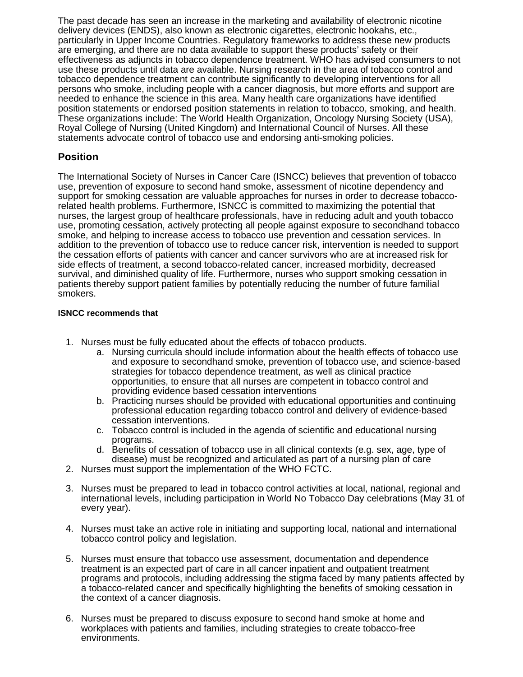The past decade has seen an increase in the marketing and availability of electronic nicotine delivery devices (ENDS), also known as electronic cigarettes, electronic hookahs, etc., particularly in Upper Income Countries. Regulatory frameworks to address these new products are emerging, and there are no data available to support these products' safety or their effectiveness as adjuncts in tobacco dependence treatment. WHO has advised consumers to not use these products until data are available. Nursing research in the area of tobacco control and tobacco dependence treatment can contribute significantly to developing interventions for all persons who smoke, including people with a cancer diagnosis, but more efforts and support are needed to enhance the science in this area. Many health care organizations have identified position statements or endorsed position statements in relation to tobacco, smoking, and health. These organizations include: The World Health Organization, Oncology Nursing Society (USA), Royal College of Nursing (United Kingdom) and International Council of Nurses. All these statements advocate control of tobacco use and endorsing anti-smoking policies.

## **Position**

The International Society of Nurses in Cancer Care (ISNCC) believes that prevention of tobacco use, prevention of exposure to second hand smoke, assessment of nicotine dependency and support for smoking cessation are valuable approaches for nurses in order to decrease tobaccorelated health problems. Furthermore, ISNCC is committed to maximizing the potential that nurses, the largest group of healthcare professionals, have in reducing adult and youth tobacco use, promoting cessation, actively protecting all people against exposure to secondhand tobacco smoke, and helping to increase access to tobacco use prevention and cessation services. In addition to the prevention of tobacco use to reduce cancer risk, intervention is needed to support the cessation efforts of patients with cancer and cancer survivors who are at increased risk for side effects of treatment, a second tobacco-related cancer, increased morbidity, decreased survival, and diminished quality of life. Furthermore, nurses who support smoking cessation in patients thereby support patient families by potentially reducing the number of future familial smokers.

#### **ISNCC recommends that**

- 1. Nurses must be fully educated about the effects of tobacco products.
	- a. Nursing curricula should include information about the health effects of tobacco use and exposure to secondhand smoke, prevention of tobacco use, and science-based strategies for tobacco dependence treatment, as well as clinical practice opportunities, to ensure that all nurses are competent in tobacco control and providing evidence based cessation interventions
	- b. Practicing nurses should be provided with educational opportunities and continuing professional education regarding tobacco control and delivery of evidence-based cessation interventions.
	- c. Tobacco control is included in the agenda of scientific and educational nursing programs.
	- d. Benefits of cessation of tobacco use in all clinical contexts (e.g. sex, age, type of disease) must be recognized and articulated as part of a nursing plan of care
- 2. Nurses must support the implementation of the WHO FCTC.
- 3. Nurses must be prepared to lead in tobacco control activities at local, national, regional and international levels, including participation in World No Tobacco Day celebrations (May 31 of every year).
- 4. Nurses must take an active role in initiating and supporting local, national and international tobacco control policy and legislation.
- 5. Nurses must ensure that tobacco use assessment, documentation and dependence treatment is an expected part of care in all cancer inpatient and outpatient treatment programs and protocols, including addressing the stigma faced by many patients affected by a tobacco-related cancer and specifically highlighting the benefits of smoking cessation in the context of a cancer diagnosis.
- 6. Nurses must be prepared to discuss exposure to second hand smoke at home and workplaces with patients and families, including strategies to create tobacco-free environments.